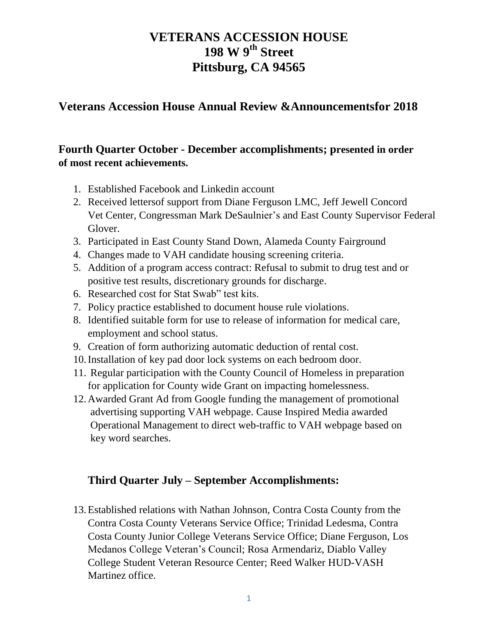### **Veterans Accession House Annual Review &Announcementsfor 2018**

### **Fourth Quarter October - December accomplishments; presented in order of most recent achievements.**

- 1. Established Facebook and Linkedin account
- 2. Received lettersof support from Diane Ferguson LMC, Jeff Jewell Concord Vet Center, Congressman Mark DeSaulnier's and East County Supervisor Federal Glover.
- 3. Participated in East County Stand Down, Alameda County Fairground
- 4. Changes made to VAH candidate housing screening criteria.
- 5. Addition of a program access contract: Refusal to submit to drug test and or positive test results, discretionary grounds for discharge.
- 6. Researched cost for Stat Swab" test kits.
- 7. Policy practice established to document house rule violations.
- 8. Identified suitable form for use to release of information for medical care, employment and school status.
- 9. Creation of form authorizing automatic deduction of rental cost.
- 10.Installation of key pad door lock systems on each bedroom door.
- 11. Regular participation with the County Council of Homeless in preparation for application for County wide Grant on impacting homelessness.
- 12.Awarded Grant Ad from Google funding the management of promotional advertising supporting VAH webpage. Cause Inspired Media awarded Operational Management to direct web-traffic to VAH webpage based on key word searches.

### **Third Quarter July – September Accomplishments:**

13.Established relations with Nathan Johnson, Contra Costa County from the Contra Costa County Veterans Service Office; Trinidad Ledesma, Contra Costa County Junior College Veterans Service Office; Diane Ferguson, Los Medanos College Veteran's Council; Rosa Armendariz, Diablo Valley College Student Veteran Resource Center; Reed Walker HUD-VASH Martinez office.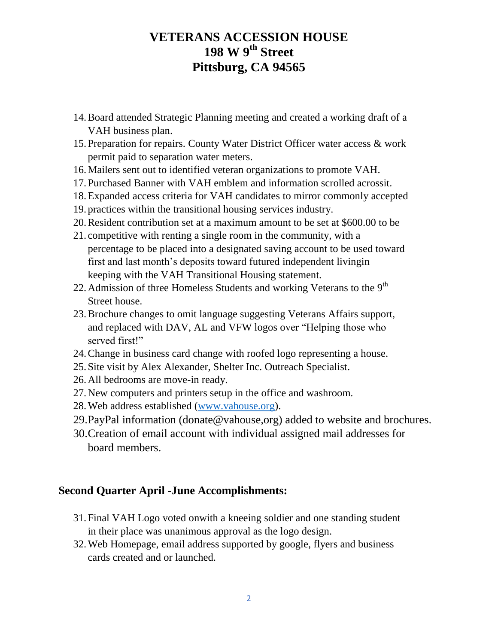- 14.Board attended Strategic Planning meeting and created a working draft of a VAH business plan.
- 15.Preparation for repairs. County Water District Officer water access & work permit paid to separation water meters.
- 16.Mailers sent out to identified veteran organizations to promote VAH.
- 17.Purchased Banner with VAH emblem and information scrolled acrossit.
- 18.Expanded access criteria for VAH candidates to mirror commonly accepted
- 19. practices within the transitional housing services industry.
- 20.Resident contribution set at a maximum amount to be set at \$600.00 to be
- 21. competitive with renting a single room in the community, with a percentage to be placed into a designated saving account to be used toward first and last month's deposits toward futured independent livingin keeping with the VAH Transitional Housing statement.
- 22. Admission of three Homeless Students and working Veterans to the  $9<sup>th</sup>$ Street house.
- 23.Brochure changes to omit language suggesting Veterans Affairs support, and replaced with DAV, AL and VFW logos over "Helping those who served first!"
- 24.Change in business card change with roofed logo representing a house.
- 25.Site visit by Alex Alexander, Shelter Inc. Outreach Specialist.
- 26.All bedrooms are move-in ready.
- 27.New computers and printers setup in the office and washroom.
- 28.Web address established [\(www.vahouse.org\)](http://www.vahouse.org/).
- 29.PayPal information (donate@vahouse,org) added to website and brochures.
- 30.Creation of email account with individual assigned mail addresses for board members.

#### **Second Quarter April -June Accomplishments:**

- 31.Final VAH Logo voted onwith a kneeing soldier and one standing student in their place was unanimous approval as the logo design.
- 32.Web Homepage, email address supported by google, flyers and business cards created and or launched.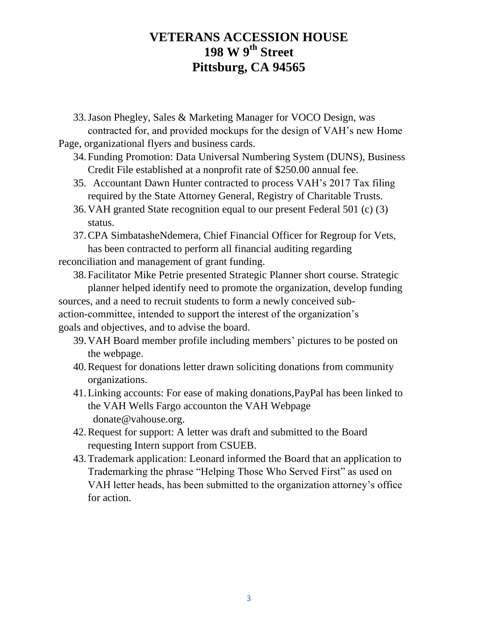33.Jason Phegley, Sales & Marketing Manager for VOCO Design, was contracted for, and provided mockups for the design of VAH's new Home

Page, organizational flyers and business cards.

- 34.Funding Promotion: Data Universal Numbering System (DUNS), Business Credit File established at a nonprofit rate of \$250.00 annual fee.
- 35. Accountant Dawn Hunter contracted to process VAH's 2017 Tax filing required by the State Attorney General, Registry of Charitable Trusts.
- 36.VAH granted State recognition equal to our present Federal 501 (c) (3) status.
- 37.CPA SimbatasheNdemera, Chief Financial Officer for Regroup for Vets, has been contracted to perform all financial auditing regarding

reconciliation and management of grant funding.

- 38.Facilitator Mike Petrie presented Strategic Planner short course. Strategic planner helped identify need to promote the organization, develop funding sources, and a need to recruit students to form a newly conceived subaction-committee, intended to support the interest of the organization's goals and objectives, and to advise the board.
	- 39.VAH Board member profile including members' pictures to be posted on the webpage.
	- 40.Request for donations letter drawn soliciting donations from community organizations.
	- 41.Linking accounts: For ease of making donations,PayPal has been linked to the VAH Wells Fargo accounton the VAH Webpage donate@vahouse.org.
	- 42.Request for support: A letter was draft and submitted to the Board requesting Intern support from CSUEB.
	- 43.Trademark application: Leonard informed the Board that an application to Trademarking the phrase "Helping Those Who Served First" as used on VAH letter heads, has been submitted to the organization attorney's office for action.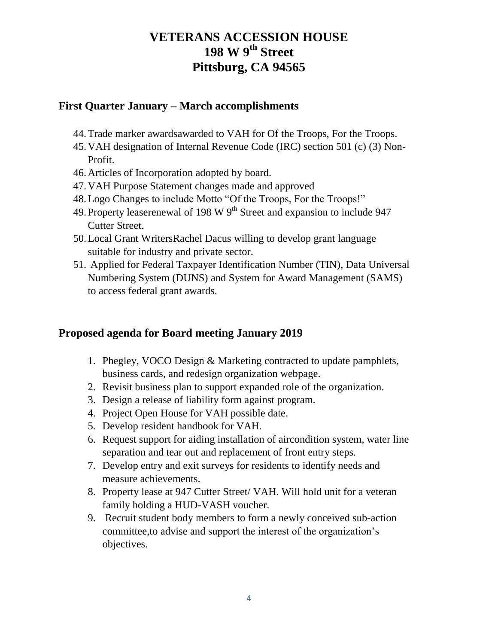#### **First Quarter January – March accomplishments**

- 44.Trade marker awardsawarded to VAH for Of the Troops, For the Troops.
- 45.VAH designation of Internal Revenue Code (IRC) section 501 (c) (3) Non-Profit.
- 46.Articles of Incorporation adopted by board.
- 47.VAH Purpose Statement changes made and approved
- 48.Logo Changes to include Motto "Of the Troops, For the Troops!"
- 49. Property leaserenewal of 198 W  $9<sup>th</sup>$  Street and expansion to include 947 Cutter Street.
- 50.Local Grant WritersRachel Dacus willing to develop grant language suitable for industry and private sector.
- 51. Applied for Federal Taxpayer Identification Number (TIN), Data Universal Numbering System (DUNS) and System for Award Management (SAMS) to access federal grant awards.

#### **Proposed agenda for Board meeting January 2019**

- 1. Phegley, VOCO Design & Marketing contracted to update pamphlets, business cards, and redesign organization webpage.
- 2. Revisit business plan to support expanded role of the organization.
- 3. Design a release of liability form against program.
- 4. Project Open House for VAH possible date.
- 5. Develop resident handbook for VAH.
- 6. Request support for aiding installation of aircondition system, water line separation and tear out and replacement of front entry steps.
- 7. Develop entry and exit surveys for residents to identify needs and measure achievements.
- 8. Property lease at 947 Cutter Street/ VAH. Will hold unit for a veteran family holding a HUD-VASH voucher.
- 9. Recruit student body members to form a newly conceived sub-action committee,to advise and support the interest of the organization's objectives.